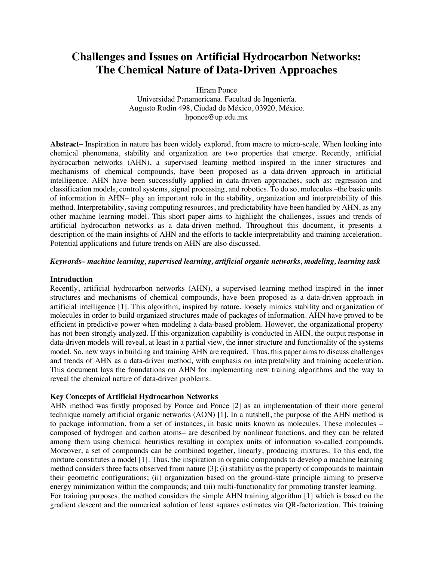# **Challenges and Issues on Artificial Hydrocarbon Networks: The Chemical Nature of Data-Driven Approaches**

Hiram Ponce Universidad Panamericana. Facultad de Ingeniería. Augusto Rodin 498, Ciudad de México, 03920, México. hponce@up.edu.mx

**Abstract–** Inspiration in nature has been widely explored, from macro to micro-scale. When looking into chemical phenomena, stability and organization are two properties that emerge. Recently, artificial hydrocarbon networks (AHN), a supervised learning method inspired in the inner structures and mechanisms of chemical compounds, have been proposed as a data-driven approach in artificial intelligence. AHN have been successfully applied in data-driven approaches, such as: regression and classification models, control systems, signal processing, and robotics. To do so, molecules –the basic units of information in AHN– play an important role in the stability, organization and interpretability of this method. Interpretability, saving computing resources, and predictability have been handled by AHN, as any other machine learning model. This short paper aims to highlight the challenges, issues and trends of artificial hydrocarbon networks as a data-driven method. Throughout this document, it presents a description of the main insights of AHN and the efforts to tackle interpretability and training acceleration. Potential applications and future trends on AHN are also discussed.

## *Keywords– machine learning, supervised learning, artificial organic networks, modeling, learning task*

### **Introduction**

Recently, artificial hydrocarbon networks (AHN), a supervised learning method inspired in the inner structures and mechanisms of chemical compounds, have been proposed as a data-driven approach in artificial intelligence [1]. This algorithm, inspired by nature, loosely mimics stability and organization of molecules in order to build organized structures made of packages of information. AHN have proved to be efficient in predictive power when modeling a data-based problem. However, the organizational property has not been strongly analyzed. If this organization capability is conducted in AHN, the output response in data-driven models will reveal, at least in a partial view, the inner structure and functionality of the systems model. So, new ways in building and training AHN are required. Thus, this paper aims to discuss challenges and trends of AHN as a data-driven method, with emphasis on interpretability and training acceleration. This document lays the foundations on AHN for implementing new training algorithms and the way to reveal the chemical nature of data-driven problems.

## **Key Concepts of Artificial Hydrocarbon Networks**

AHN method was firstly proposed by Ponce and Ponce [2] as an implementation of their more general technique namely artificial organic networks (AON) [1]. In a nutshell, the purpose of the AHN method is to package information, from a set of instances, in basic units known as molecules. These molecules – composed of hydrogen and carbon atoms– are described by nonlinear functions, and they can be related among them using chemical heuristics resulting in complex units of information so-called compounds. Moreover, a set of compounds can be combined together, linearly, producing mixtures. To this end, the mixture constitutes a model [1]. Thus, the inspiration in organic compounds to develop a machine learning method considers three facts observed from nature [3]: (i) stability as the property of compounds to maintain their geometric configurations; (ii) organization based on the ground-state principle aiming to preserve energy minimization within the compounds; and (iii) multi-functionality for promoting transfer learning. For training purposes, the method considers the simple AHN training algorithm [1] which is based on the gradient descent and the numerical solution of least squares estimates via QR-factorization. This training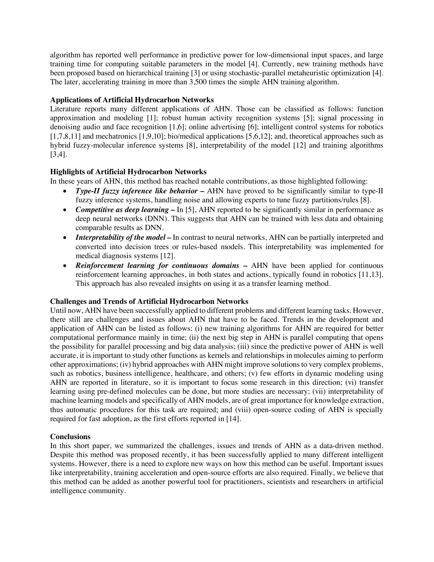algorithm has reported well performance in predictive power for low-dimensional input spaces, and large training time for computing suitable parameters in the model [4]. Currently, new training methods have been proposed based on hierarchical training [3] or using stochastic-parallel metaheuristic optimization [4]. The later, accelerating training in more than 3,500 times the simple AHN training algorithm.

# **Applications of Artificial Hydrocarbon Networks**

Literature reports many different applications of AHN. Those can be classified as follows: function approximation and modeling [1]; robust human activity recognition systems [5]; signal processing in denoising audio and face recognition [1,6]; online advertising [6]; intelligent control systems for robotics [1,7,8,11] and mechatronics [1,9,10]; bio/medical applications [5,6,12]; and, theoretical approaches such as hybrid fuzzy-molecular inference systems [8], interpretability of the model [12] and training algorithms [3,4].

# **Highlights of Artificial Hydrocarbon Networks**

In these years of AHN, this method has reached notable contributions, as those highlighted following:

- *Type-II fuzzy inference like behavior –* AHN have proved to be significantly similar to type-II fuzzy inference systems, handling noise and allowing experts to tune fuzzy partitions/rules [8].
- *Competitive as deep learning* In [5], AHN reported to be significantly similar in performance as deep neural networks (DNN). This suggests that AHN can be trained with less data and obtaining comparable results as DNN.
- *Interpretability of the model* In contrast to neural networks, AHN can be partially interpreted and converted into decision trees or rules-based models. This interpretability was implemented for medical diagnosis systems [12].
- *Reinforcement learning for continuous domains –* AHN have been applied for continuous reinforcement learning approaches, in both states and actions, typically found in robotics [11,13]. This approach has also revealed insights on using it as a transfer learning method.

## **Challenges and Trends of Artificial Hydrocarbon Networks**

Until now, AHN have been successfully applied to different problems and different learning tasks. However, there still are challenges and issues about AHN that have to be faced. Trends in the development and application of AHN can be listed as follows: (i) new training algorithms for AHN are required for better computational performance mainly in time; (ii) the next big step in AHN is parallel computing that opens the possibility for parallel processing and big data analysis; (iii) since the predictive power of AHN is well accurate, it is important to study other functions as kernels and relationships in molecules aiming to perform other approximations; (iv) hybrid approaches with AHN might improve solutions to very complex problems, such as robotics, business intelligence, healthcare, and others; (v) few efforts in dynamic modeling using AHN are reported in literature, so it is important to focus some research in this direction; (vi) transfer learning using pre-defined molecules can be done, but more studies are necessary; (vii) interpretability of machine learning models and specifically of AHN models, are of great importance for knowledge extraction, thus automatic procedures for this task are required; and (viii) open-source coding of AHN is specially required for fast adoption, as the first efforts reported in [14].

#### **Conclusions**

In this short paper, we summarized the challenges, issues and trends of AHN as a data-driven method. Despite this method was proposed recently, it has been successfully applied to many different intelligent systems. However, there is a need to explore new ways on how this method can be useful. Important issues like interpretability, training acceleration and open-source efforts are also required. Finally, we believe that this method can be added as another powerful tool for practitioners, scientists and researchers in artificial intelligence community.